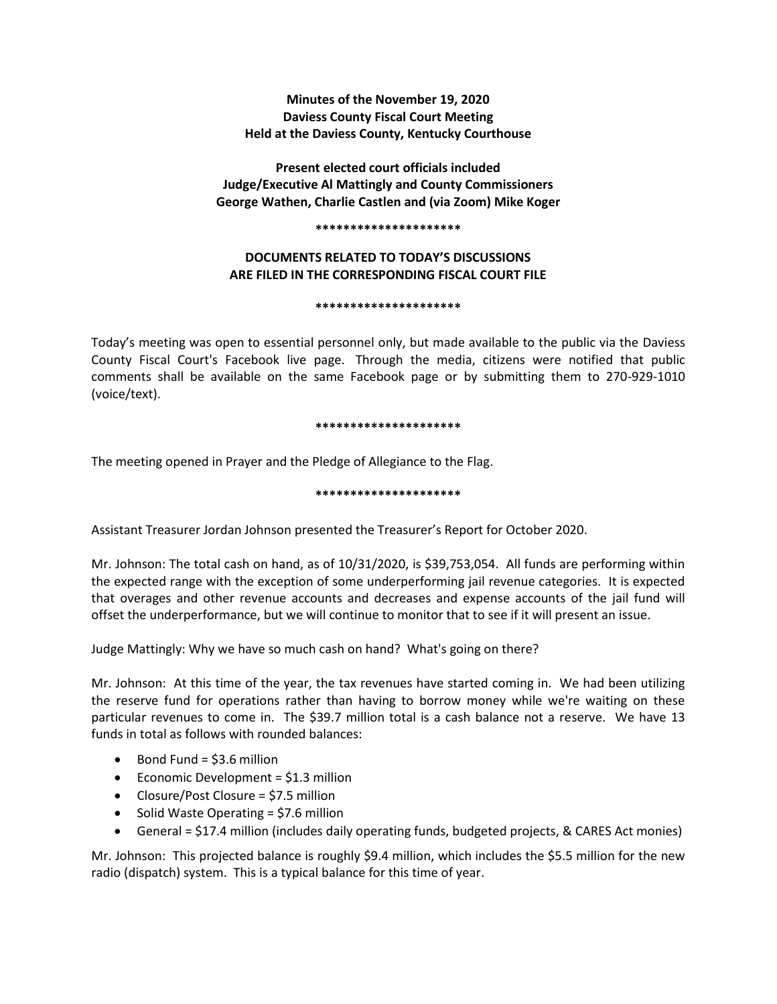**Minutes of the November 19, 2020 Daviess County Fiscal Court Meeting Held at the Daviess County, Kentucky Courthouse**

**Present elected court officials included Judge/Executive Al Mattingly and County Commissioners George Wathen, Charlie Castlen and (via Zoom) Mike Koger**

#### **\*\*\*\*\*\*\*\*\*\*\*\*\*\*\*\*\*\*\*\*\***

# **DOCUMENTS RELATED TO TODAY'S DISCUSSIONS ARE FILED IN THE CORRESPONDING FISCAL COURT FILE**

#### **\*\*\*\*\*\*\*\*\*\*\*\*\*\*\*\*\*\*\*\*\***

Today's meeting was open to essential personnel only, but made available to the public via the Daviess County Fiscal Court's Facebook live page. Through the media, citizens were notified that public comments shall be available on the same Facebook page or by submitting them to 270-929-1010 (voice/text).

### **\*\*\*\*\*\*\*\*\*\*\*\*\*\*\*\*\*\*\*\*\***

The meeting opened in Prayer and the Pledge of Allegiance to the Flag.

## **\*\*\*\*\*\*\*\*\*\*\*\*\*\*\*\*\*\*\*\*\***

Assistant Treasurer Jordan Johnson presented the Treasurer's Report for October 2020.

Mr. Johnson: The total cash on hand, as of 10/31/2020, is \$39,753,054. All funds are performing within the expected range with the exception of some underperforming jail revenue categories. It is expected that overages and other revenue accounts and decreases and expense accounts of the jail fund will offset the underperformance, but we will continue to monitor that to see if it will present an issue.

Judge Mattingly: Why we have so much cash on hand? What's going on there?

Mr. Johnson: At this time of the year, the tax revenues have started coming in. We had been utilizing the reserve fund for operations rather than having to borrow money while we're waiting on these particular revenues to come in. The \$39.7 million total is a cash balance not a reserve. We have 13 funds in total as follows with rounded balances:

- Bond Fund = \$3.6 million
- Economic Development =  $$1.3$  million
- Closure/Post Closure = \$7.5 million
- $\bullet$  Solid Waste Operating = \$7.6 million
- General = \$17.4 million (includes daily operating funds, budgeted projects, & CARES Act monies)

Mr. Johnson: This projected balance is roughly \$9.4 million, which includes the \$5.5 million for the new radio (dispatch) system. This is a typical balance for this time of year.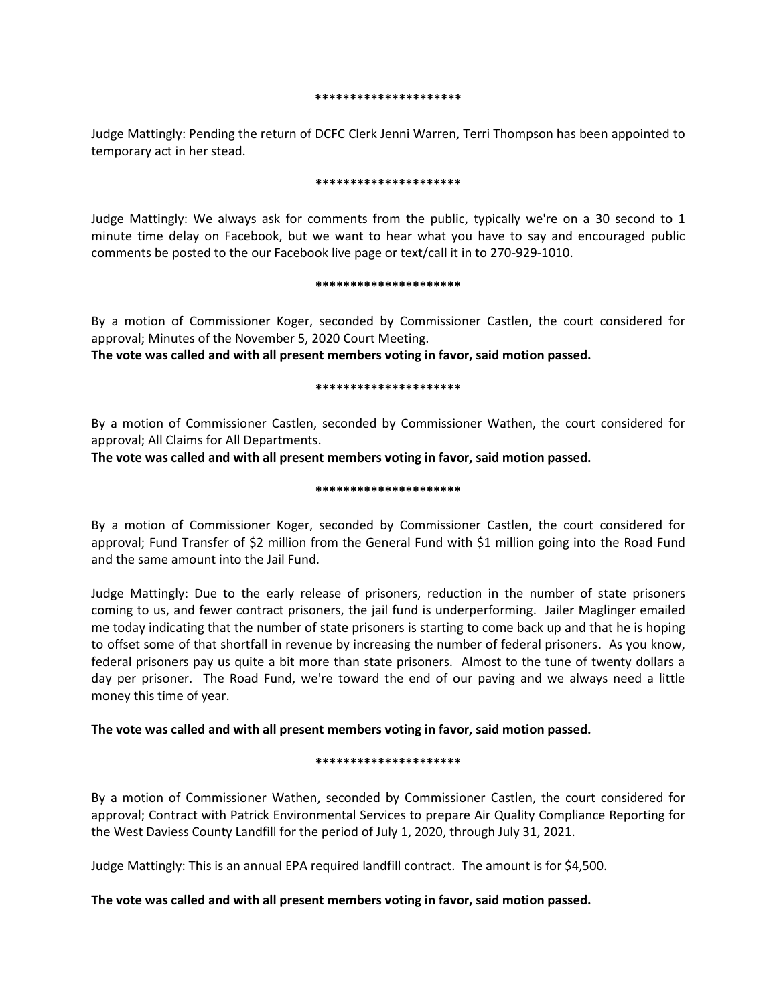#### **\*\*\*\*\*\*\*\*\*\*\*\*\*\*\*\*\*\*\*\*\***

Judge Mattingly: Pending the return of DCFC Clerk Jenni Warren, Terri Thompson has been appointed to temporary act in her stead.

#### **\*\*\*\*\*\*\*\*\*\*\*\*\*\*\*\*\*\*\*\*\***

Judge Mattingly: We always ask for comments from the public, typically we're on a 30 second to 1 minute time delay on Facebook, but we want to hear what you have to say and encouraged public comments be posted to the our Facebook live page or text/call it in to 270-929-1010.

#### **\*\*\*\*\*\*\*\*\*\*\*\*\*\*\*\*\*\*\*\*\***

By a motion of Commissioner Koger, seconded by Commissioner Castlen, the court considered for approval; Minutes of the November 5, 2020 Court Meeting.

**The vote was called and with all present members voting in favor, said motion passed.** 

### **\*\*\*\*\*\*\*\*\*\*\*\*\*\*\*\*\*\*\*\*\***

By a motion of Commissioner Castlen, seconded by Commissioner Wathen, the court considered for approval; All Claims for All Departments.

**The vote was called and with all present members voting in favor, said motion passed.** 

## **\*\*\*\*\*\*\*\*\*\*\*\*\*\*\*\*\*\*\*\*\***

By a motion of Commissioner Koger, seconded by Commissioner Castlen, the court considered for approval; Fund Transfer of \$2 million from the General Fund with \$1 million going into the Road Fund and the same amount into the Jail Fund.

Judge Mattingly: Due to the early release of prisoners, reduction in the number of state prisoners coming to us, and fewer contract prisoners, the jail fund is underperforming. Jailer Maglinger emailed me today indicating that the number of state prisoners is starting to come back up and that he is hoping to offset some of that shortfall in revenue by increasing the number of federal prisoners. As you know, federal prisoners pay us quite a bit more than state prisoners. Almost to the tune of twenty dollars a day per prisoner. The Road Fund, we're toward the end of our paving and we always need a little money this time of year.

# **The vote was called and with all present members voting in favor, said motion passed.**

# **\*\*\*\*\*\*\*\*\*\*\*\*\*\*\*\*\*\*\*\*\***

By a motion of Commissioner Wathen, seconded by Commissioner Castlen, the court considered for approval; Contract with Patrick Environmental Services to prepare Air Quality Compliance Reporting for the West Daviess County Landfill for the period of July 1, 2020, through July 31, 2021.

Judge Mattingly: This is an annual EPA required landfill contract. The amount is for \$4,500.

# **The vote was called and with all present members voting in favor, said motion passed.**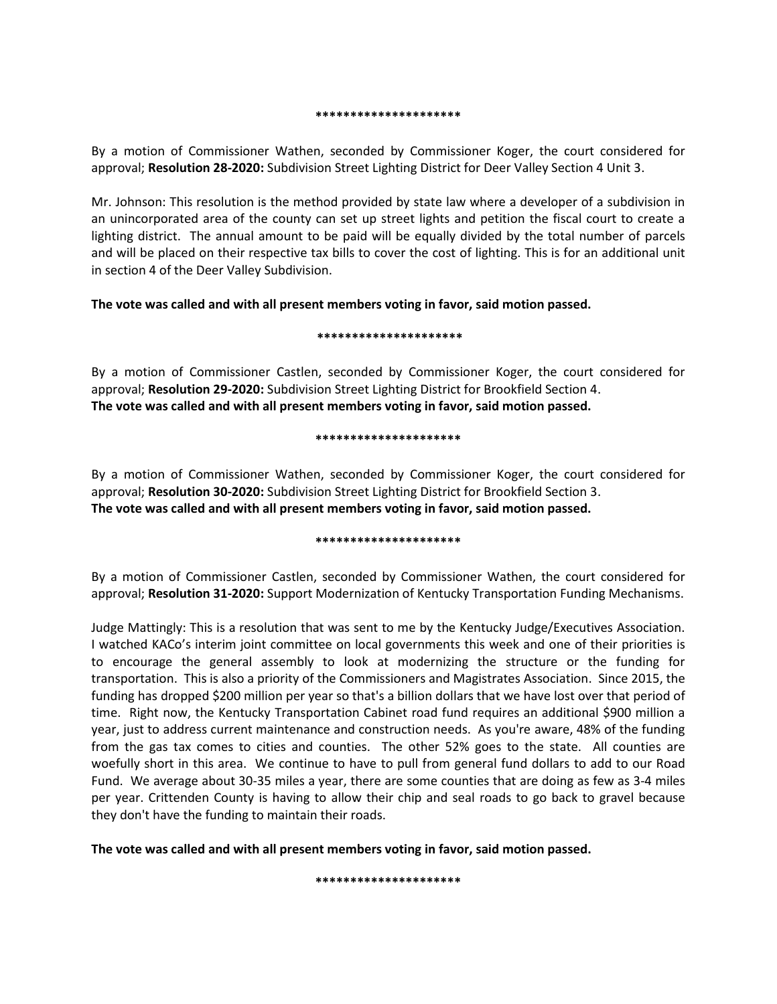#### **\*\*\*\*\*\*\*\*\*\*\*\*\*\*\*\*\*\*\*\*\***

By a motion of Commissioner Wathen, seconded by Commissioner Koger, the court considered for approval; **Resolution 28-2020:** Subdivision Street Lighting District for Deer Valley Section 4 Unit 3.

Mr. Johnson: This resolution is the method provided by state law where a developer of a subdivision in an unincorporated area of the county can set up street lights and petition the fiscal court to create a lighting district. The annual amount to be paid will be equally divided by the total number of parcels and will be placed on their respective tax bills to cover the cost of lighting. This is for an additional unit in section 4 of the Deer Valley Subdivision.

# **The vote was called and with all present members voting in favor, said motion passed.**

## **\*\*\*\*\*\*\*\*\*\*\*\*\*\*\*\*\*\*\*\*\***

By a motion of Commissioner Castlen, seconded by Commissioner Koger, the court considered for approval; **Resolution 29-2020:** Subdivision Street Lighting District for Brookfield Section 4. **The vote was called and with all present members voting in favor, said motion passed.** 

### **\*\*\*\*\*\*\*\*\*\*\*\*\*\*\*\*\*\*\*\*\***

By a motion of Commissioner Wathen, seconded by Commissioner Koger, the court considered for approval; **Resolution 30-2020:** Subdivision Street Lighting District for Brookfield Section 3. **The vote was called and with all present members voting in favor, said motion passed.** 

# **\*\*\*\*\*\*\*\*\*\*\*\*\*\*\*\*\*\*\*\*\***

By a motion of Commissioner Castlen, seconded by Commissioner Wathen, the court considered for approval; **Resolution 31-2020:** Support Modernization of Kentucky Transportation Funding Mechanisms.

Judge Mattingly: This is a resolution that was sent to me by the Kentucky Judge/Executives Association. I watched KACo's interim joint committee on local governments this week and one of their priorities is to encourage the general assembly to look at modernizing the structure or the funding for transportation. This is also a priority of the Commissioners and Magistrates Association. Since 2015, the funding has dropped \$200 million per year so that's a billion dollars that we have lost over that period of time. Right now, the Kentucky Transportation Cabinet road fund requires an additional \$900 million a year, just to address current maintenance and construction needs. As you're aware, 48% of the funding from the gas tax comes to cities and counties. The other 52% goes to the state. All counties are woefully short in this area. We continue to have to pull from general fund dollars to add to our Road Fund. We average about 30-35 miles a year, there are some counties that are doing as few as 3-4 miles per year. Crittenden County is having to allow their chip and seal roads to go back to gravel because they don't have the funding to maintain their roads.

**The vote was called and with all present members voting in favor, said motion passed.**

**\*\*\*\*\*\*\*\*\*\*\*\*\*\*\*\*\*\*\*\*\***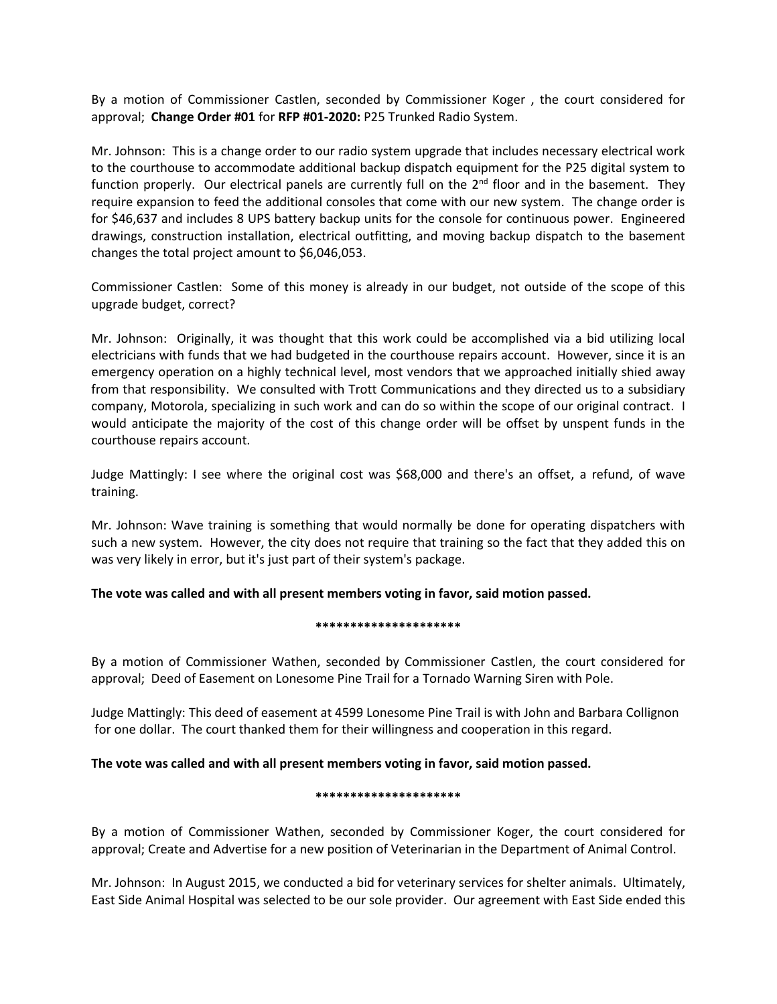By a motion of Commissioner Castlen, seconded by Commissioner Koger , the court considered for approval; **Change Order #01** for **RFP #01-2020:** P25 Trunked Radio System.

Mr. Johnson: This is a change order to our radio system upgrade that includes necessary electrical work to the courthouse to accommodate additional backup dispatch equipment for the P25 digital system to function properly. Our electrical panels are currently full on the 2<sup>nd</sup> floor and in the basement. They require expansion to feed the additional consoles that come with our new system. The change order is for \$46,637 and includes 8 UPS battery backup units for the console for continuous power. Engineered drawings, construction installation, electrical outfitting, and moving backup dispatch to the basement changes the total project amount to \$6,046,053.

Commissioner Castlen: Some of this money is already in our budget, not outside of the scope of this upgrade budget, correct?

Mr. Johnson: Originally, it was thought that this work could be accomplished via a bid utilizing local electricians with funds that we had budgeted in the courthouse repairs account. However, since it is an emergency operation on a highly technical level, most vendors that we approached initially shied away from that responsibility. We consulted with Trott Communications and they directed us to a subsidiary company, Motorola, specializing in such work and can do so within the scope of our original contract. I would anticipate the majority of the cost of this change order will be offset by unspent funds in the courthouse repairs account.

Judge Mattingly: I see where the original cost was \$68,000 and there's an offset, a refund, of wave training.

Mr. Johnson: Wave training is something that would normally be done for operating dispatchers with such a new system. However, the city does not require that training so the fact that they added this on was very likely in error, but it's just part of their system's package.

**The vote was called and with all present members voting in favor, said motion passed.** 

### **\*\*\*\*\*\*\*\*\*\*\*\*\*\*\*\*\*\*\*\*\***

By a motion of Commissioner Wathen, seconded by Commissioner Castlen, the court considered for approval; Deed of Easement on Lonesome Pine Trail for a Tornado Warning Siren with Pole.

Judge Mattingly: This deed of easement at 4599 Lonesome Pine Trail is with John and Barbara Collignon for one dollar. The court thanked them for their willingness and cooperation in this regard.

# **The vote was called and with all present members voting in favor, said motion passed.**

### **\*\*\*\*\*\*\*\*\*\*\*\*\*\*\*\*\*\*\*\*\***

By a motion of Commissioner Wathen, seconded by Commissioner Koger, the court considered for approval; Create and Advertise for a new position of Veterinarian in the Department of Animal Control.

Mr. Johnson: In August 2015, we conducted a bid for veterinary services for shelter animals. Ultimately, East Side Animal Hospital was selected to be our sole provider. Our agreement with East Side ended this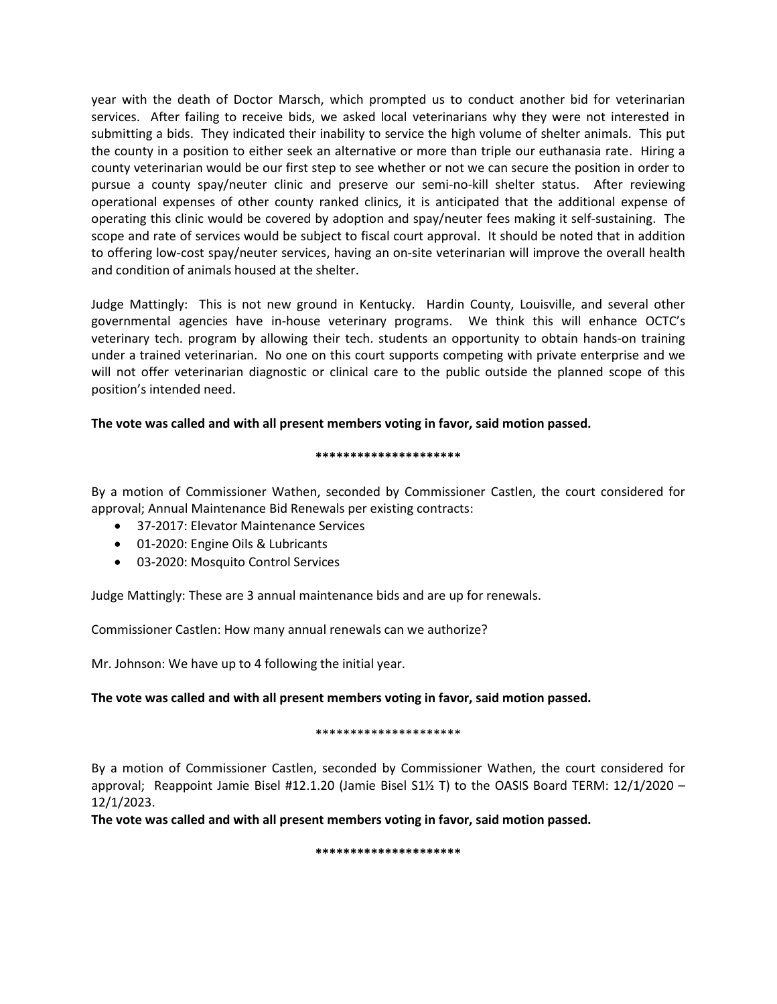year with the death of Doctor Marsch, which prompted us to conduct another bid for veterinarian services. After failing to receive bids, we asked local veterinarians why they were not interested in submitting a bids. They indicated their inability to service the high volume of shelter animals. This put the county in a position to either seek an alternative or more than triple our euthanasia rate. Hiring a county veterinarian would be our first step to see whether or not we can secure the position in order to pursue a county spay/neuter clinic and preserve our semi-no-kill shelter status. After reviewing operational expenses of other county ranked clinics, it is anticipated that the additional expense of operating this clinic would be covered by adoption and spay/neuter fees making it self-sustaining. The scope and rate of services would be subject to fiscal court approval. It should be noted that in addition to offering low-cost spay/neuter services, having an on-site veterinarian will improve the overall health and condition of animals housed at the shelter.

Judge Mattingly: This is not new ground in Kentucky. Hardin County, Louisville, and several other governmental agencies have in-house veterinary programs. We think this will enhance OCTC's veterinary tech. program by allowing their tech. students an opportunity to obtain hands-on training under a trained veterinarian. No one on this court supports competing with private enterprise and we will not offer veterinarian diagnostic or clinical care to the public outside the planned scope of this position's intended need.

# **The vote was called and with all present members voting in favor, said motion passed.**

## **\*\*\*\*\*\*\*\*\*\*\*\*\*\*\*\*\*\*\*\*\***

By a motion of Commissioner Wathen, seconded by Commissioner Castlen, the court considered for approval; Annual Maintenance Bid Renewals per existing contracts:

- 37-2017: Elevator Maintenance Services
- 01-2020: Engine Oils & Lubricants
- 03-2020: Mosquito Control Services

Judge Mattingly: These are 3 annual maintenance bids and are up for renewals.

Commissioner Castlen: How many annual renewals can we authorize?

Mr. Johnson: We have up to 4 following the initial year.

# **The vote was called and with all present members voting in favor, said motion passed.**

### \*\*\*\*\*\*\*\*\*\*\*\*\*\*\*\*\*\*\*\*\*

By a motion of Commissioner Castlen, seconded by Commissioner Wathen, the court considered for approval; Reappoint Jamie Bisel #12.1.20 (Jamie Bisel S1½ T) to the OASIS Board TERM: 12/1/2020 – 12/1/2023.

**The vote was called and with all present members voting in favor, said motion passed.**

**\*\*\*\*\*\*\*\*\*\*\*\*\*\*\*\*\*\*\*\*\***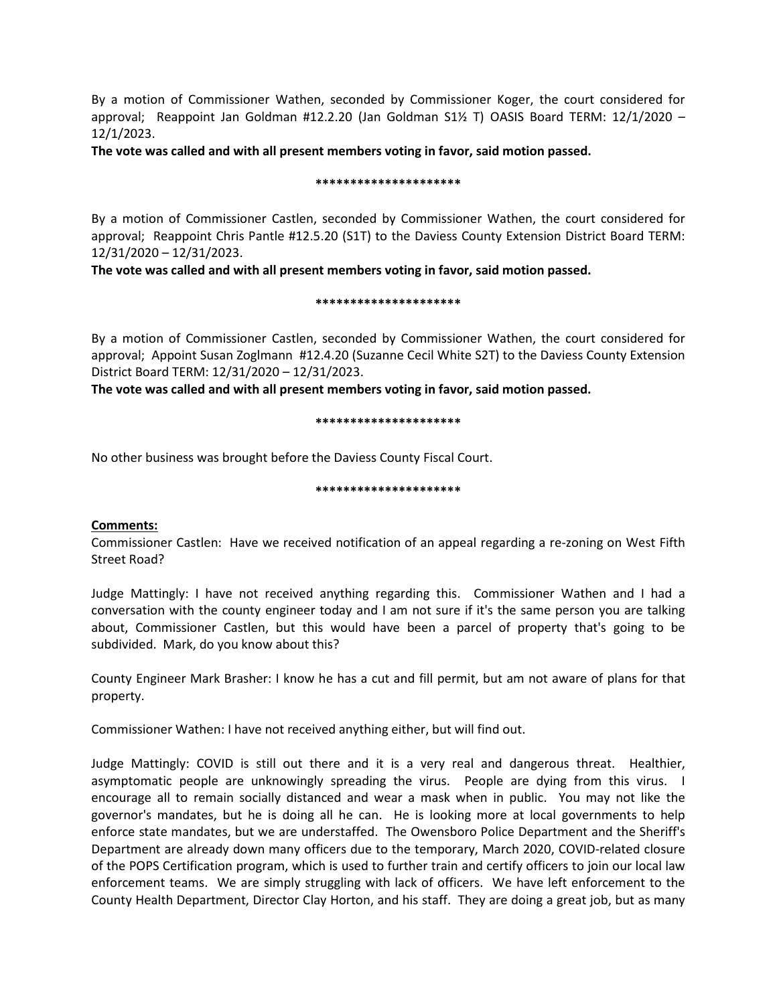By a motion of Commissioner Wathen, seconded by Commissioner Koger, the court considered for approval; Reappoint Jan Goldman #12.2.20 (Jan Goldman S1½ T) OASIS Board TERM: 12/1/2020 – 12/1/2023.

**The vote was called and with all present members voting in favor, said motion passed.**

## **\*\*\*\*\*\*\*\*\*\*\*\*\*\*\*\*\*\*\*\*\***

By a motion of Commissioner Castlen, seconded by Commissioner Wathen, the court considered for approval; Reappoint Chris Pantle #12.5.20 (S1T) to the Daviess County Extension District Board TERM: 12/31/2020 – 12/31/2023.

**The vote was called and with all present members voting in favor, said motion passed.**

## **\*\*\*\*\*\*\*\*\*\*\*\*\*\*\*\*\*\*\*\*\***

By a motion of Commissioner Castlen, seconded by Commissioner Wathen, the court considered for approval; Appoint Susan Zoglmann #12.4.20 (Suzanne Cecil White S2T) to the Daviess County Extension District Board TERM: 12/31/2020 – 12/31/2023.

**The vote was called and with all present members voting in favor, said motion passed.**

## **\*\*\*\*\*\*\*\*\*\*\*\*\*\*\*\*\*\*\*\*\***

No other business was brought before the Daviess County Fiscal Court.

## **\*\*\*\*\*\*\*\*\*\*\*\*\*\*\*\*\*\*\*\*\***

# **Comments:**

Commissioner Castlen: Have we received notification of an appeal regarding a re-zoning on West Fifth Street Road?

Judge Mattingly: I have not received anything regarding this. Commissioner Wathen and I had a conversation with the county engineer today and I am not sure if it's the same person you are talking about, Commissioner Castlen, but this would have been a parcel of property that's going to be subdivided. Mark, do you know about this?

County Engineer Mark Brasher: I know he has a cut and fill permit, but am not aware of plans for that property.

Commissioner Wathen: I have not received anything either, but will find out.

Judge Mattingly: COVID is still out there and it is a very real and dangerous threat. Healthier, asymptomatic people are unknowingly spreading the virus. People are dying from this virus. I encourage all to remain socially distanced and wear a mask when in public. You may not like the governor's mandates, but he is doing all he can. He is looking more at local governments to help enforce state mandates, but we are understaffed. The Owensboro Police Department and the Sheriff's Department are already down many officers due to the temporary, March 2020, COVID-related closure of the POPS Certification program, which is used to further train and certify officers to join our local law enforcement teams. We are simply struggling with lack of officers. We have left enforcement to the County Health Department, Director Clay Horton, and his staff. They are doing a great job, but as many